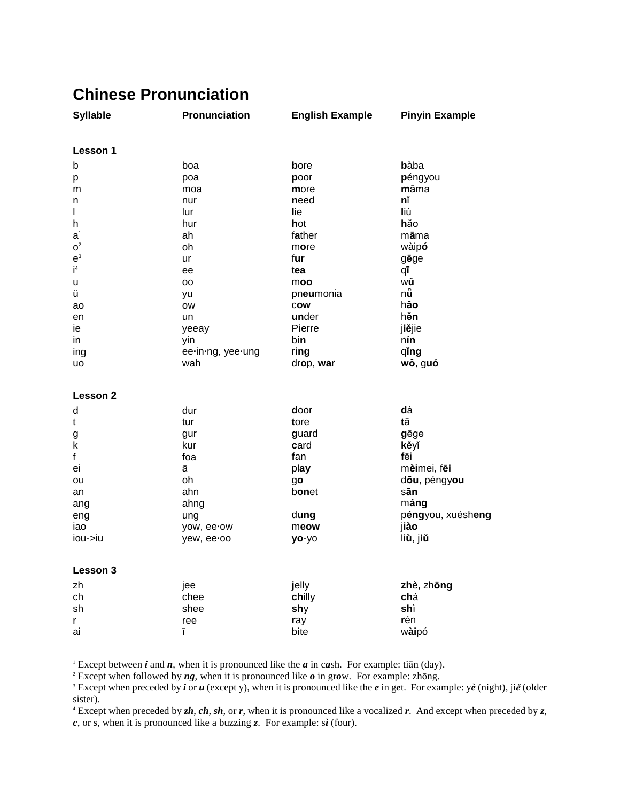## **Chinese Pronunciation**

| <b>Syllable</b>                     | Pronunciation     | <b>English Example</b> | <b>Pinyin Example</b> |
|-------------------------------------|-------------------|------------------------|-----------------------|
| Lesson 1                            |                   |                        |                       |
| b                                   | boa               | bore                   | bàba                  |
| р                                   | poa               | poor                   | péngyou               |
| m                                   | moa               | more                   | māma                  |
| n                                   | nur               | need                   | nĭ                    |
| I                                   | lur               | lie                    | liù                   |
| h                                   | hur               | hot                    | hảo                   |
| a <sup>1</sup>                      | ah                | father                 | māma                  |
| $\mathbf{O}^2$                      | oh                | more                   | wàipó                 |
| $\mathsf{e}^{\scriptscriptstyle 3}$ | ur                | fur                    | gēge                  |
| $\mathsf{i}^4$                      | ee                | tea                    | qī                    |
| u                                   | oo                | moo                    | wŭ                    |
| ü                                   | yu                | pneumonia              | nů                    |
| ao                                  | <b>OW</b>         | cow                    | hăo                   |
| en                                  | un                | under                  | hěn                   |
| ie                                  | yeeay             | Pierre                 | jiějie                |
| in                                  | yin               | bin                    | nín                   |
| ing                                 | ee-in-ng, yee-ung | ring                   | qing                  |
| uo                                  | wah               | drop, war              | wǒ, guó               |
|                                     |                   |                        |                       |
| <b>Lesson 2</b>                     |                   |                        |                       |
| d                                   | dur               | door                   | dà                    |
| t                                   | tur               | tore                   | tā                    |
| g                                   | gur               | guard                  | gēge                  |
| k                                   | kur               | card                   | kěyĭ                  |
| f                                   | foa               | fan                    | fēi                   |
| ei                                  | ā                 | play                   | mèimei, fēi           |
| ou                                  | oh                | go                     | dōu, péngyou          |
| an                                  | ahn               | bonet                  | sān                   |
| ang                                 | ahng              |                        | máng                  |
| eng                                 | ung               | dung                   | péngyou, xuésheng     |
| iao                                 | yow, ee-ow        | meow                   | jiào                  |
| iou->iu                             | yew, ee-oo        | yo-yo                  | liù, jiŭ              |
|                                     |                   |                        |                       |
| Lesson 3                            |                   |                        |                       |
| zh                                  | jee               | jelly                  | zhè, zhōng            |
| ch                                  | chee              | chilly                 | chá                   |
| sh                                  | shee              | shy                    | shì                   |
| r                                   | ree               | ray                    | rén                   |
| ai                                  | ī                 | bite                   | wàipó                 |
|                                     |                   |                        |                       |

<sup>1</sup> Except between *i* and *n*, when it is pronounced like the *a* in c*a*sh. For example: tian (day).

<sup>2</sup> Except when followed by  $ng$ , when it is pronounced like  $o$  in grow. For example: zhong.

<sup>4</sup> Except when preceded by  $zh$ ,  $ch$ ,  $sh$ , or  $r$ , when it is pronounced like a vocalized  $r$ . And except when preceded by  $z$ ,

 $c$ , or  $s$ , when it is pronounced like a buzzing  $z$ . For example: sì (four).

<sup>&</sup>lt;sup>3</sup> Except when preceded by *i* or *u* (except y), when it is pronounced like the *e* in get. For example: yè (night), jiě (older sister).